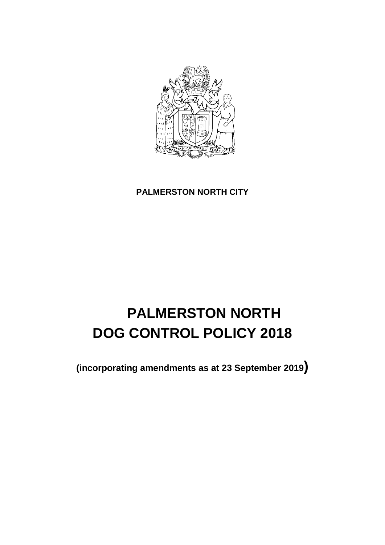

# **PALMERSTON NORTH CITY**

# **PALMERSTON NORTH DOG CONTROL POLICY 2018**

**(incorporating amendments as at 23 September 2019)**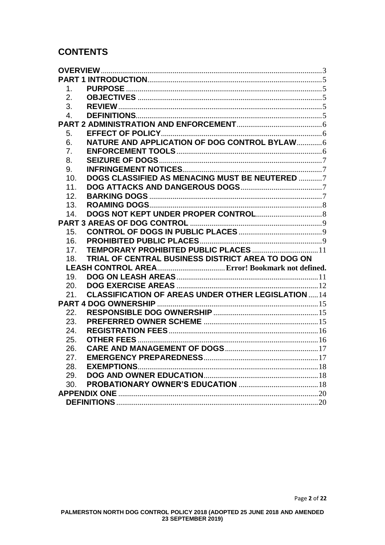# **CONTENTS**

| <b>OVERVIEW</b>  |                                                            |  |
|------------------|------------------------------------------------------------|--|
|                  |                                                            |  |
| 1.               |                                                            |  |
| 2.               |                                                            |  |
| 3.               |                                                            |  |
| $\overline{4}$ . |                                                            |  |
|                  |                                                            |  |
| 5.               |                                                            |  |
| 6.               | NATURE AND APPLICATION OF DOG CONTROL BYLAW 6              |  |
| 7.               |                                                            |  |
| 8.               |                                                            |  |
| 9.               |                                                            |  |
| 10.              | DOGS CLASSIFIED AS MENACING MUST BE NEUTERED 7             |  |
| 11.              |                                                            |  |
| 12.              |                                                            |  |
| 13.              |                                                            |  |
| 14.              |                                                            |  |
|                  |                                                            |  |
| 15.              |                                                            |  |
| 16.              |                                                            |  |
| 17 <sub>1</sub>  | TEMPORARY PROHIBITED PUBLIC PLACES  11                     |  |
| 18.              | TRIAL OF CENTRAL BUSINESS DISTRICT AREA TO DOG ON          |  |
|                  |                                                            |  |
| 19.              |                                                            |  |
| 20.              |                                                            |  |
| 21.              | <b>CLASSIFICATION OF AREAS UNDER OTHER LEGISLATION  14</b> |  |
|                  |                                                            |  |
| 22.              |                                                            |  |
| 23.              |                                                            |  |
| 24.              |                                                            |  |
| 25.              |                                                            |  |
| 26.              |                                                            |  |
| 27.              |                                                            |  |
| 28.              |                                                            |  |
| 29.              |                                                            |  |
| 30.              |                                                            |  |
|                  |                                                            |  |
|                  |                                                            |  |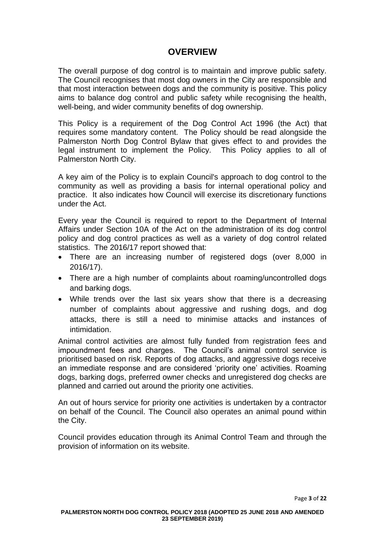# **OVERVIEW**

<span id="page-2-0"></span>The overall purpose of dog control is to maintain and improve public safety. The Council recognises that most dog owners in the City are responsible and that most interaction between dogs and the community is positive. This policy aims to balance dog control and public safety while recognising the health, well-being, and wider community benefits of dog ownership.

This Policy is a requirement of the Dog Control Act 1996 (the Act) that requires some mandatory content. The Policy should be read alongside the Palmerston North Dog Control Bylaw that gives effect to and provides the legal instrument to implement the Policy. This Policy applies to all of Palmerston North City.

A key aim of the Policy is to explain Council's approach to dog control to the community as well as providing a basis for internal operational policy and practice. It also indicates how Council will exercise its discretionary functions under the Act.

Every year the Council is required to report to the Department of Internal Affairs under Section 10A of the Act on the administration of its dog control policy and dog control practices as well as a variety of dog control related statistics. The 2016/17 report showed that:

- There are an increasing number of registered dogs (over 8,000 in 2016/17).
- There are a high number of complaints about roaming/uncontrolled dogs and barking dogs.
- While trends over the last six years show that there is a decreasing number of complaints about aggressive and rushing dogs, and dog attacks, there is still a need to minimise attacks and instances of intimidation.

Animal control activities are almost fully funded from registration fees and impoundment fees and charges. The Council's animal control service is prioritised based on risk. Reports of dog attacks, and aggressive dogs receive an immediate response and are considered 'priority one' activities. Roaming dogs, barking dogs, preferred owner checks and unregistered dog checks are planned and carried out around the priority one activities.

An out of hours service for priority one activities is undertaken by a contractor on behalf of the Council. The Council also operates an animal pound within the City.

Council provides education through its Animal Control Team and through the provision of information on its website.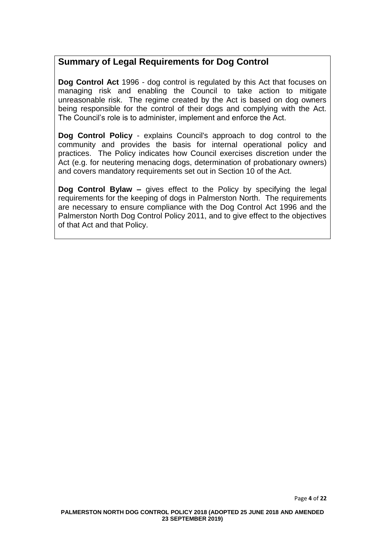# **Summary of Legal Requirements for Dog Control**

**Dog Control Act** 1996 - dog control is regulated by this Act that focuses on managing risk and enabling the Council to take action to mitigate unreasonable risk. The regime created by the Act is based on dog owners being responsible for the control of their dogs and complying with the Act. The Council's role is to administer, implement and enforce the Act.

**Dog Control Policy** - explains Council's approach to dog control to the community and provides the basis for internal operational policy and practices. The Policy indicates how Council exercises discretion under the Act (e.g. for neutering menacing dogs, determination of probationary owners) and covers mandatory requirements set out in Section 10 of the Act.

**Dog Control Bylaw –** gives effect to the Policy by specifying the legal requirements for the keeping of dogs in Palmerston North. The requirements are necessary to ensure compliance with the Dog Control Act 1996 and the Palmerston North Dog Control Policy 2011, and to give effect to the objectives of that Act and that Policy.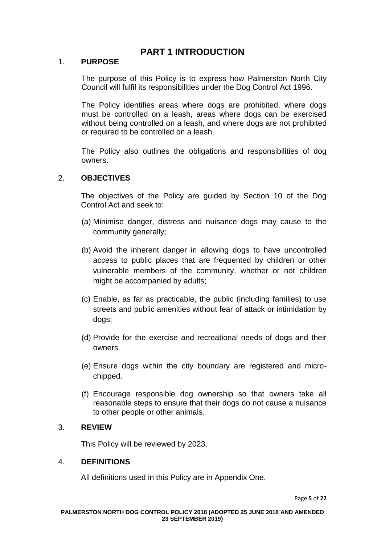# **PART 1 INTRODUCTION**

#### <span id="page-4-1"></span><span id="page-4-0"></span>1. **PURPOSE**

The purpose of this Policy is to express how Palmerston North City Council will fulfil its responsibilities under the Dog Control Act 1996.

The Policy identifies areas where dogs are prohibited, where dogs must be controlled on a leash, areas where dogs can be exercised without being controlled on a leash, and where dogs are not prohibited or required to be controlled on a leash.

The Policy also outlines the obligations and responsibilities of dog owners.

## <span id="page-4-2"></span>2. **OBJECTIVES**

The objectives of the Policy are guided by Section 10 of the Dog Control Act and seek to:

- (a) Minimise danger, distress and nuisance dogs may cause to the community generally;
- (b) Avoid the inherent danger in allowing dogs to have uncontrolled access to public places that are frequented by children or other vulnerable members of the community, whether or not children might be accompanied by adults;
- (c) Enable, as far as practicable, the public (including families) to use streets and public amenities without fear of attack or intimidation by dogs;
- (d) Provide for the exercise and recreational needs of dogs and their owners.
- (e) Ensure dogs within the city boundary are registered and microchipped.
- (f) Encourage responsible dog ownership so that owners take all reasonable steps to ensure that their dogs do not cause a nuisance to other people or other animals.

#### <span id="page-4-3"></span>3. **REVIEW**

This Policy will be reviewed by 2023.

#### <span id="page-4-4"></span>4. **DEFINITIONS**

All definitions used in this Policy are in Appendix One.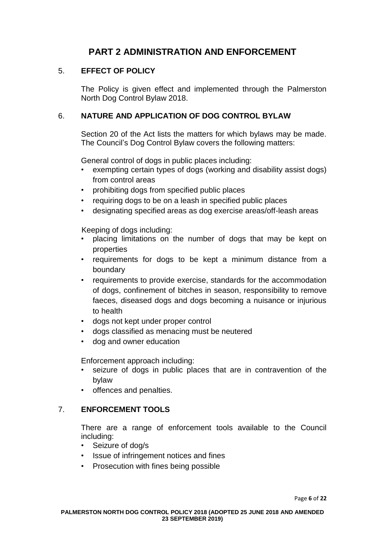# **PART 2 ADMINISTRATION AND ENFORCEMENT**

# <span id="page-5-1"></span><span id="page-5-0"></span>5. **EFFECT OF POLICY**

The Policy is given effect and implemented through the Palmerston North Dog Control Bylaw 2018.

# <span id="page-5-2"></span>6. **NATURE AND APPLICATION OF DOG CONTROL BYLAW**

Section 20 of the Act lists the matters for which bylaws may be made. The Council's Dog Control Bylaw covers the following matters:

General control of dogs in public places including:

- exempting certain types of dogs (working and disability assist dogs) from control areas
- prohibiting dogs from specified public places
- requiring dogs to be on a leash in specified public places
- designating specified areas as dog exercise areas/off-leash areas

Keeping of dogs including:

- placing limitations on the number of dogs that may be kept on properties
- requirements for dogs to be kept a minimum distance from a boundary
- requirements to provide exercise, standards for the accommodation of dogs, confinement of bitches in season, responsibility to remove faeces, diseased dogs and dogs becoming a nuisance or injurious to health
- dogs not kept under proper control
- dogs classified as menacing must be neutered
- dog and owner education

Enforcement approach including:

- seizure of dogs in public places that are in contravention of the bylaw
- offences and penalties.

## <span id="page-5-3"></span>7. **ENFORCEMENT TOOLS**

There are a range of enforcement tools available to the Council including:

- Seizure of dog/s
- Issue of infringement notices and fines
- Prosecution with fines being possible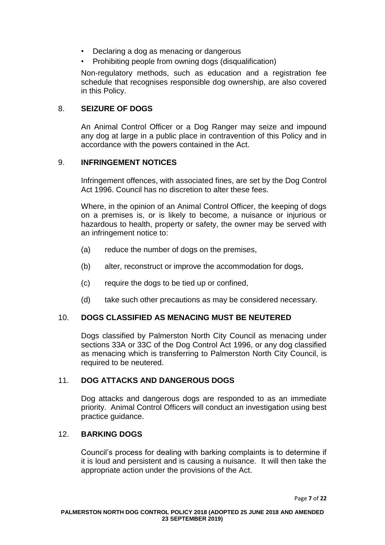- Declaring a dog as menacing or dangerous
- Prohibiting people from owning dogs (disqualification)

Non-regulatory methods, such as education and a registration fee schedule that recognises responsible dog ownership, are also covered in this Policy.

# <span id="page-6-0"></span>8. **SEIZURE OF DOGS**

An Animal Control Officer or a Dog Ranger may seize and impound any dog at large in a public place in contravention of this Policy and in accordance with the powers contained in the Act.

## <span id="page-6-1"></span>9. **INFRINGEMENT NOTICES**

Infringement offences, with associated fines, are set by the Dog Control Act 1996. Council has no discretion to alter these fees.

Where, in the opinion of an Animal Control Officer, the keeping of dogs on a premises is, or is likely to become, a nuisance or injurious or hazardous to health, property or safety, the owner may be served with an infringement notice to:

- (a) reduce the number of dogs on the premises,
- (b) alter, reconstruct or improve the accommodation for dogs,
- (c) require the dogs to be tied up or confined,
- (d) take such other precautions as may be considered necessary.

# <span id="page-6-2"></span>10. **DOGS CLASSIFIED AS MENACING MUST BE NEUTERED**

Dogs classified by Palmerston North City Council as menacing under sections 33A or 33C of the Dog Control Act 1996, or any dog classified as menacing which is transferring to Palmerston North City Council, is required to be neutered.

# <span id="page-6-3"></span>11. **DOG ATTACKS AND DANGEROUS DOGS**

Dog attacks and dangerous dogs are responded to as an immediate priority. Animal Control Officers will conduct an investigation using best practice guidance.

## <span id="page-6-4"></span>12. **BARKING DOGS**

Council's process for dealing with barking complaints is to determine if it is loud and persistent and is causing a nuisance. It will then take the appropriate action under the provisions of the Act.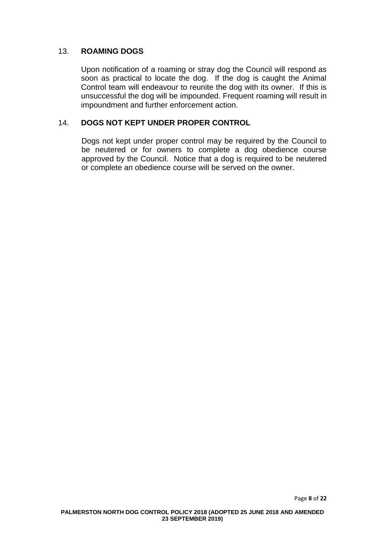# <span id="page-7-0"></span>13. **ROAMING DOGS**

Upon notification of a roaming or stray dog the Council will respond as soon as practical to locate the dog. If the dog is caught the Animal Control team will endeavour to reunite the dog with its owner. If this is unsuccessful the dog will be impounded. Frequent roaming will result in impoundment and further enforcement action.

## <span id="page-7-1"></span>14. **DOGS NOT KEPT UNDER PROPER CONTROL**

Dogs not kept under proper control may be required by the Council to be neutered or for owners to complete a dog obedience course approved by the Council. Notice that a dog is required to be neutered or complete an obedience course will be served on the owner.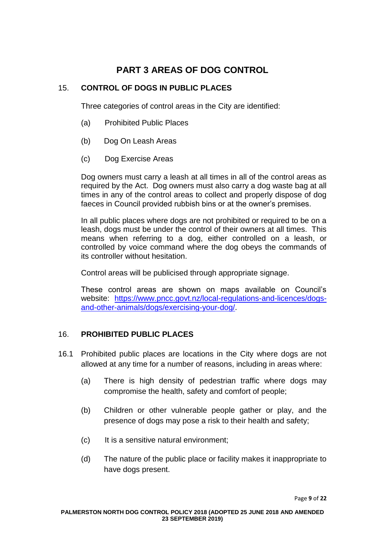# **PART 3 AREAS OF DOG CONTROL**

# <span id="page-8-1"></span><span id="page-8-0"></span>15. **CONTROL OF DOGS IN PUBLIC PLACES**

Three categories of control areas in the City are identified:

- (a) Prohibited Public Places
- (b) Dog On Leash Areas
- (c) Dog Exercise Areas

Dog owners must carry a leash at all times in all of the control areas as required by the Act. Dog owners must also carry a dog waste bag at all times in any of the control areas to collect and properly dispose of dog faeces in Council provided rubbish bins or at the owner's premises.

In all public places where dogs are not prohibited or required to be on a leash, dogs must be under the control of their owners at all times. This means when referring to a dog, either controlled on a leash, or controlled by voice command where the dog obeys the commands of its controller without hesitation.

Control areas will be publicised through appropriate signage.

These control areas are shown on maps available on Council's website: [https://www.pncc.govt.nz/local-regulations-and-licences/dogs](https://www.pncc.govt.nz/local-regulations-and-licences/dogs-and-other-animals/dogs/exercising-your-dog/)[and-other-animals/dogs/exercising-your-dog/.](https://www.pncc.govt.nz/local-regulations-and-licences/dogs-and-other-animals/dogs/exercising-your-dog/)

# <span id="page-8-2"></span>16. **PROHIBITED PUBLIC PLACES**

- 16.1 Prohibited public places are locations in the City where dogs are not allowed at any time for a number of reasons, including in areas where:
	- (a) There is high density of pedestrian traffic where dogs may compromise the health, safety and comfort of people;
	- (b) Children or other vulnerable people gather or play, and the presence of dogs may pose a risk to their health and safety;
	- (c) It is a sensitive natural environment;
	- (d) The nature of the public place or facility makes it inappropriate to have dogs present.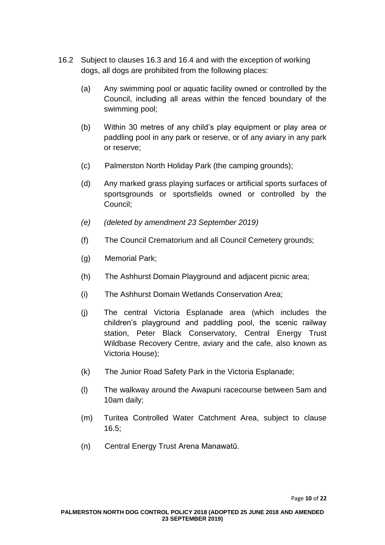- 16.2 Subject to clauses 16.3 and 16.4 and with the exception of working dogs, all dogs are prohibited from the following places:
	- (a) Any swimming pool or aquatic facility owned or controlled by the Council, including all areas within the fenced boundary of the swimming pool;
	- (b) Within 30 metres of any child's play equipment or play area or paddling pool in any park or reserve, or of any aviary in any park or reserve;
	- (c) Palmerston North Holiday Park (the camping grounds);
	- (d) Any marked grass playing surfaces or artificial sports surfaces of sportsgrounds or sportsfields owned or controlled by the Council;
	- *(e) (deleted by amendment 23 September 2019)*
	- (f) The Council Crematorium and all Council Cemetery grounds;
	- (g) Memorial Park;
	- (h) The Ashhurst Domain Playground and adjacent picnic area;
	- (i) The Ashhurst Domain Wetlands Conservation Area;
	- (j) The central Victoria Esplanade area (which includes the children's playground and paddling pool, the scenic railway station, Peter Black Conservatory, Central Energy Trust Wildbase Recovery Centre, aviary and the cafe, also known as Victoria House);
	- (k) The Junior Road Safety Park in the Victoria Esplanade;
	- (l) The walkway around the Awapuni racecourse between 5am and 10am daily;
	- (m) Turitea Controlled Water Catchment Area, subject to clause 16.5;
	- (n) Central Energy Trust Arena Manawatū.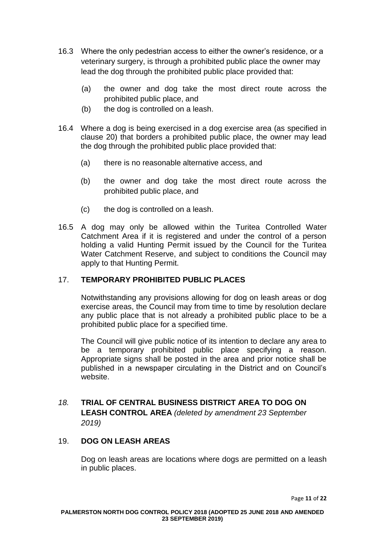- 16.3 Where the only pedestrian access to either the owner's residence, or a veterinary surgery, is through a prohibited public place the owner may lead the dog through the prohibited public place provided that:
	- (a) the owner and dog take the most direct route across the prohibited public place, and
	- (b) the dog is controlled on a leash.
- 16.4 Where a dog is being exercised in a dog exercise area (as specified in clause 20) that borders a prohibited public place, the owner may lead the dog through the prohibited public place provided that:
	- (a) there is no reasonable alternative access, and
	- (b) the owner and dog take the most direct route across the prohibited public place, and
	- (c) the dog is controlled on a leash.
- 16.5 A dog may only be allowed within the Turitea Controlled Water Catchment Area if it is registered and under the control of a person holding a valid Hunting Permit issued by the Council for the Turitea Water Catchment Reserve, and subject to conditions the Council may apply to that Hunting Permit.

# <span id="page-10-0"></span>17. **TEMPORARY PROHIBITED PUBLIC PLACES**

Notwithstanding any provisions allowing for dog on leash areas or dog exercise areas, the Council may from time to time by resolution declare any public place that is not already a prohibited public place to be a prohibited public place for a specified time.

The Council will give public notice of its intention to declare any area to be a temporary prohibited public place specifying a reason. Appropriate signs shall be posted in the area and prior notice shall be published in a newspaper circulating in the District and on Council's website.

# *18.* **TRIAL OF CENTRAL BUSINESS DISTRICT AREA TO DOG ON LEASH CONTROL AREA** *(deleted by amendment 23 September 2019)*

# <span id="page-10-1"></span>19. **DOG ON LEASH AREAS**

Dog on leash areas are locations where dogs are permitted on a leash in public places.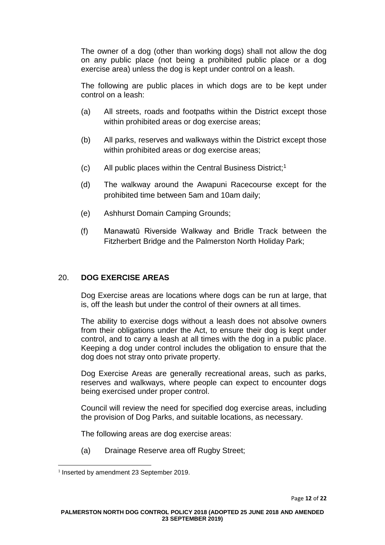The owner of a dog (other than working dogs) shall not allow the dog on any public place (not being a prohibited public place or a dog exercise area) unless the dog is kept under control on a leash.

The following are public places in which dogs are to be kept under control on a leash:

- (a) All streets, roads and footpaths within the District except those within prohibited areas or dog exercise areas:
- (b) All parks, reserves and walkways within the District except those within prohibited areas or dog exercise areas;
- (c) All public places within the Central Business District;<sup>1</sup>
- (d) The walkway around the Awapuni Racecourse except for the prohibited time between 5am and 10am daily;
- (e) Ashhurst Domain Camping Grounds;
- (f) Manawatū Riverside Walkway and Bridle Track between the Fitzherbert Bridge and the Palmerston North Holiday Park;

## <span id="page-11-0"></span>20. **DOG EXERCISE AREAS**

Dog Exercise areas are locations where dogs can be run at large, that is, off the leash but under the control of their owners at all times.

The ability to exercise dogs without a leash does not absolve owners from their obligations under the Act, to ensure their dog is kept under control, and to carry a leash at all times with the dog in a public place. Keeping a dog under control includes the obligation to ensure that the dog does not stray onto private property.

Dog Exercise Areas are generally recreational areas, such as parks, reserves and walkways, where people can expect to encounter dogs being exercised under proper control.

Council will review the need for specified dog exercise areas, including the provision of Dog Parks, and suitable locations, as necessary.

The following areas are dog exercise areas:

(a) Drainage Reserve area off Rugby Street;

<sup>1</sup> <sup>1</sup> Inserted by amendment 23 September 2019.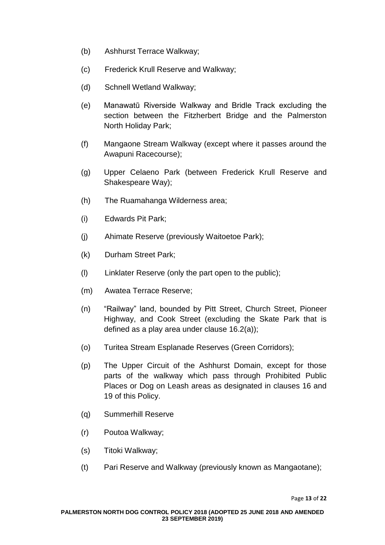- (b) Ashhurst Terrace Walkway;
- (c) Frederick Krull Reserve and Walkway;
- (d) Schnell Wetland Walkway;
- (e) Manawatū Riverside Walkway and Bridle Track excluding the section between the Fitzherbert Bridge and the Palmerston North Holiday Park;
- (f) Mangaone Stream Walkway (except where it passes around the Awapuni Racecourse);
- (g) Upper Celaeno Park (between Frederick Krull Reserve and Shakespeare Way);
- (h) The Ruamahanga Wilderness area;
- (i) Edwards Pit Park;
- (j) Ahimate Reserve (previously Waitoetoe Park);
- (k) Durham Street Park;
- (l) Linklater Reserve (only the part open to the public);
- (m) Awatea Terrace Reserve;
- (n) "Railway" land, bounded by Pitt Street, Church Street, Pioneer Highway, and Cook Street (excluding the Skate Park that is defined as a play area under clause 16.2(a));
- (o) Turitea Stream Esplanade Reserves (Green Corridors);
- (p) The Upper Circuit of the Ashhurst Domain, except for those parts of the walkway which pass through Prohibited Public Places or Dog on Leash areas as designated in clauses 16 and 19 of this Policy.
- (q) Summerhill Reserve
- (r) Poutoa Walkway;
- (s) Titoki Walkway;
- (t) Pari Reserve and Walkway (previously known as Mangaotane);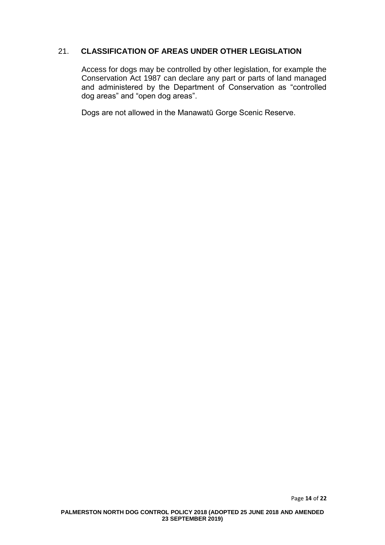# <span id="page-13-0"></span>21. **CLASSIFICATION OF AREAS UNDER OTHER LEGISLATION**

Access for dogs may be controlled by other legislation, for example the Conservation Act 1987 can declare any part or parts of land managed and administered by the Department of Conservation as "controlled dog areas" and "open dog areas".

Dogs are not allowed in the Manawatū Gorge Scenic Reserve.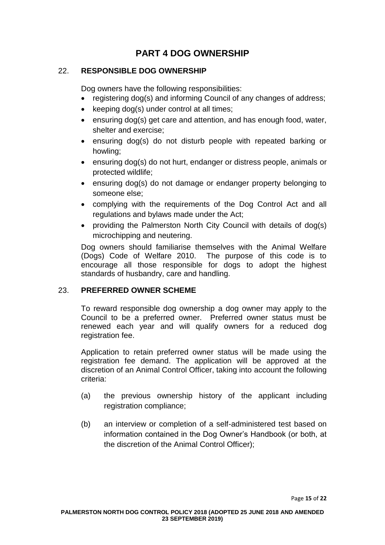# **PART 4 DOG OWNERSHIP**

# <span id="page-14-1"></span><span id="page-14-0"></span>22. **RESPONSIBLE DOG OWNERSHIP**

Dog owners have the following responsibilities:

- registering dog(s) and informing Council of any changes of address;
- keeping dog(s) under control at all times;
- ensuring dog(s) get care and attention, and has enough food, water, shelter and exercise;
- ensuring dog(s) do not disturb people with repeated barking or howling;
- ensuring dog(s) do not hurt, endanger or distress people, animals or protected wildlife;
- ensuring dog(s) do not damage or endanger property belonging to someone else;
- complying with the requirements of the Dog Control Act and all regulations and bylaws made under the Act;
- providing the Palmerston North City Council with details of dog(s) microchipping and neutering.

Dog owners should familiarise themselves with the Animal Welfare (Dogs) Code of Welfare 2010. The purpose of this code is to encourage all those responsible for dogs to adopt the highest standards of husbandry, care and handling.

# <span id="page-14-2"></span>23. **PREFERRED OWNER SCHEME**

To reward responsible dog ownership a dog owner may apply to the Council to be a preferred owner. Preferred owner status must be renewed each year and will qualify owners for a reduced dog registration fee.

Application to retain preferred owner status will be made using the registration fee demand. The application will be approved at the discretion of an Animal Control Officer, taking into account the following criteria:

- (a) the previous ownership history of the applicant including registration compliance;
- (b) an interview or completion of a self-administered test based on information contained in the Dog Owner's Handbook (or both, at the discretion of the Animal Control Officer);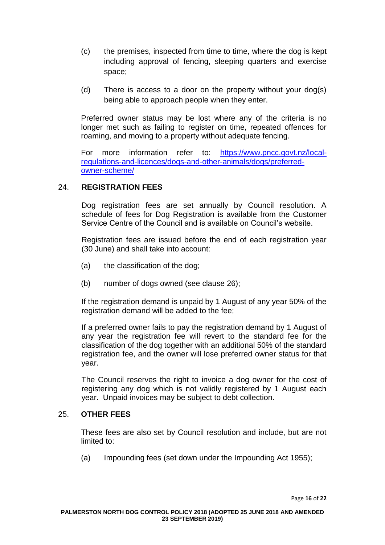- (c) the premises, inspected from time to time, where the dog is kept including approval of fencing, sleeping quarters and exercise space;
- (d) There is access to a door on the property without your dog(s) being able to approach people when they enter.

Preferred owner status may be lost where any of the criteria is no longer met such as failing to register on time, repeated offences for roaming, and moving to a property without adequate fencing.

For more information refer to: [https://www.pncc.govt.nz/local](https://www.pncc.govt.nz/local-regulations-and-licences/dogs-and-other-animals/dogs/preferred-owner-scheme/)[regulations-and-licences/dogs-and-other-animals/dogs/preferred](https://www.pncc.govt.nz/local-regulations-and-licences/dogs-and-other-animals/dogs/preferred-owner-scheme/)[owner-scheme/](https://www.pncc.govt.nz/local-regulations-and-licences/dogs-and-other-animals/dogs/preferred-owner-scheme/)

## <span id="page-15-0"></span>24. **REGISTRATION FEES**

Dog registration fees are set annually by Council resolution. A schedule of fees for Dog Registration is available from the Customer Service Centre of the Council and is available on Council's website.

Registration fees are issued before the end of each registration year (30 June) and shall take into account:

- (a) the classification of the dog;
- (b) number of dogs owned (see clause 26);

If the registration demand is unpaid by 1 August of any year 50% of the registration demand will be added to the fee;

If a preferred owner fails to pay the registration demand by 1 August of any year the registration fee will revert to the standard fee for the classification of the dog together with an additional 50% of the standard registration fee, and the owner will lose preferred owner status for that year.

The Council reserves the right to invoice a dog owner for the cost of registering any dog which is not validly registered by 1 August each year. Unpaid invoices may be subject to debt collection.

## <span id="page-15-1"></span>25. **OTHER FEES**

These fees are also set by Council resolution and include, but are not limited to:

(a) Impounding fees (set down under the Impounding Act 1955);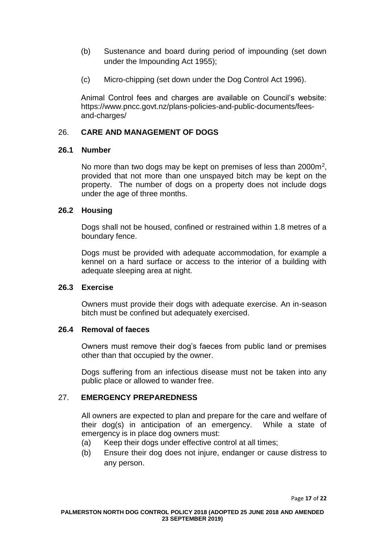- (b) Sustenance and board during period of impounding (set down under the Impounding Act 1955);
- (c) Micro-chipping (set down under the Dog Control Act 1996).

Animal Control fees and charges are available on Council's website: https://www.pncc.govt.nz/plans-policies-and-public-documents/feesand-charges/

## <span id="page-16-0"></span>26. **CARE AND MANAGEMENT OF DOGS**

## **26.1 Number**

No more than two dogs may be kept on premises of less than 2000m<sup>2</sup>, provided that not more than one unspayed bitch may be kept on the property. The number of dogs on a property does not include dogs under the age of three months.

#### **26.2 Housing**

Dogs shall not be housed, confined or restrained within 1.8 metres of a boundary fence.

Dogs must be provided with adequate accommodation, for example a kennel on a hard surface or access to the interior of a building with adequate sleeping area at night.

# **26.3 Exercise**

Owners must provide their dogs with adequate exercise. An in-season bitch must be confined but adequately exercised.

## **26.4 Removal of faeces**

Owners must remove their dog's faeces from public land or premises other than that occupied by the owner.

Dogs suffering from an infectious disease must not be taken into any public place or allowed to wander free.

## <span id="page-16-1"></span>27. **EMERGENCY PREPAREDNESS**

All owners are expected to plan and prepare for the care and welfare of their dog(s) in anticipation of an emergency. While a state of emergency is in place dog owners must:

- (a) Keep their dogs under effective control at all times;
- (b) Ensure their dog does not injure, endanger or cause distress to any person.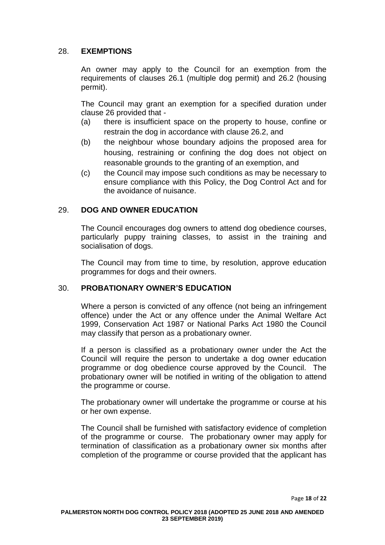# <span id="page-17-0"></span>28. **EXEMPTIONS**

An owner may apply to the Council for an exemption from the requirements of clauses 26.1 (multiple dog permit) and 26.2 (housing permit).

The Council may grant an exemption for a specified duration under clause 26 provided that -

- (a) there is insufficient space on the property to house, confine or restrain the dog in accordance with clause 26.2, and
- (b) the neighbour whose boundary adjoins the proposed area for housing, restraining or confining the dog does not object on reasonable grounds to the granting of an exemption, and
- (c) the Council may impose such conditions as may be necessary to ensure compliance with this Policy, the Dog Control Act and for the avoidance of nuisance.

# <span id="page-17-1"></span>29. **DOG AND OWNER EDUCATION**

The Council encourages dog owners to attend dog obedience courses, particularly puppy training classes, to assist in the training and socialisation of dogs.

The Council may from time to time, by resolution, approve education programmes for dogs and their owners.

## <span id="page-17-2"></span>30. **PROBATIONARY OWNER'S EDUCATION**

Where a person is convicted of any offence (not being an infringement offence) under the Act or any offence under the Animal Welfare Act 1999, Conservation Act 1987 or National Parks Act 1980 the Council may classify that person as a probationary owner*.*

If a person is classified as a probationary owner under the Act the Council will require the person to undertake a dog owner education programme or dog obedience course approved by the Council. The probationary owner will be notified in writing of the obligation to attend the programme or course.

The probationary owner will undertake the programme or course at his or her own expense.

The Council shall be furnished with satisfactory evidence of completion of the programme or course. The probationary owner may apply for termination of classification as a probationary owner six months after completion of the programme or course provided that the applicant has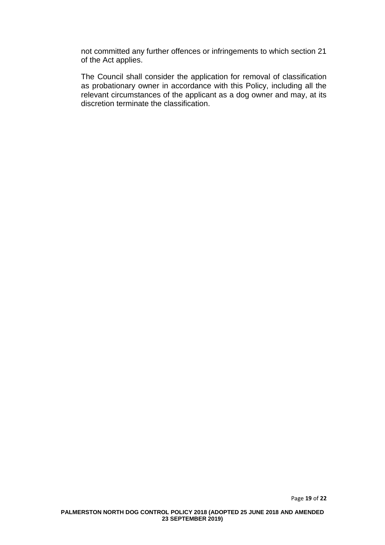not committed any further offences or infringements to which section 21 of the Act applies.

The Council shall consider the application for removal of classification as probationary owner in accordance with this Policy, including all the relevant circumstances of the applicant as a dog owner and may, at its discretion terminate the classification.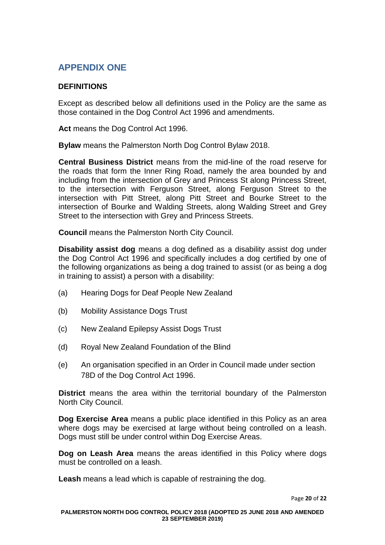# <span id="page-19-0"></span>**APPENDIX ONE**

# <span id="page-19-1"></span>**DEFINITIONS**

Except as described below all definitions used in the Policy are the same as those contained in the Dog Control Act 1996 and amendments.

**Act** means the Dog Control Act 1996.

**Bylaw** means the Palmerston North Dog Control Bylaw 2018.

**Central Business District** means from the mid-line of the road reserve for the roads that form the Inner Ring Road, namely the area bounded by and including from the intersection of Grey and Princess St along Princess Street, to the intersection with Ferguson Street, along Ferguson Street to the intersection with Pitt Street, along Pitt Street and Bourke Street to the intersection of Bourke and Walding Streets, along Walding Street and Grey Street to the intersection with Grey and Princess Streets.

**Council** means the Palmerston North City Council.

**Disability assist dog** means a dog defined as a disability assist dog under the Dog Control Act 1996 and specifically includes a dog certified by one of the following organizations as being a dog trained to assist (or as being a dog in training to assist) a person with a disability:

- (a) Hearing Dogs for Deaf People New Zealand
- (b) Mobility Assistance Dogs Trust
- (c) New Zealand Epilepsy Assist Dogs Trust
- (d) Royal New Zealand Foundation of the Blind
- (e) An organisation specified in an Order in Council made under section 78D of the Dog Control Act 1996.

**District** means the area within the territorial boundary of the Palmerston North City Council.

**Dog Exercise Area** means a public place identified in this Policy as an area where dogs may be exercised at large without being controlled on a leash. Dogs must still be under control within Dog Exercise Areas.

**Dog on Leash Area** means the areas identified in this Policy where dogs must be controlled on a leash.

**Leash** means a lead which is capable of restraining the dog.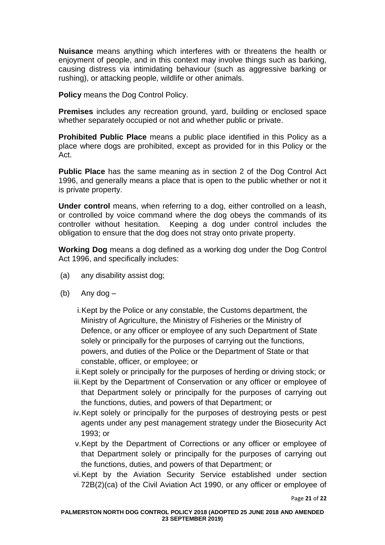**Nuisance** means anything which interferes with or threatens the health or enjoyment of people, and in this context may involve things such as barking, causing distress via intimidating behaviour (such as aggressive barking or rushing), or attacking people, wildlife or other animals.

**Policy** means the Dog Control Policy.

**Premises** includes any recreation ground, yard, building or enclosed space whether separately occupied or not and whether public or private.

**Prohibited Public Place** means a public place identified in this Policy as a place where dogs are prohibited, except as provided for in this Policy or the Act.

**Public Place** has the same meaning as in section 2 of the Dog Control Act 1996, and generally means a place that is open to the public whether or not it is private property.

**Under control** means, when referring to a dog, either controlled on a leash, or controlled by voice command where the dog obeys the commands of its controller without hesitation. Keeping a dog under control includes the obligation to ensure that the dog does not stray onto private property.

**Working Dog** means a dog defined as a working dog under the Dog Control Act 1996, and specifically includes:

- (a) any disability assist dog;
- (b) Any dog –

i.Kept by the Police or any constable, the Customs department, the Ministry of Agriculture, the Ministry of Fisheries or the Ministry of Defence, or any officer or employee of any such Department of State solely or principally for the purposes of carrying out the functions, powers, and duties of the Police or the Department of State or that constable, officer, or employee; or

ii.Kept solely or principally for the purposes of herding or driving stock; or

- iii.Kept by the Department of Conservation or any officer or employee of that Department solely or principally for the purposes of carrying out the functions, duties, and powers of that Department; or
- iv.Kept solely or principally for the purposes of destroying pests or pest agents under any pest management strategy under the Biosecurity Act 1993; or
- v.Kept by the Department of Corrections or any officer or employee of that Department solely or principally for the purposes of carrying out the functions, duties, and powers of that Department; or
- vi.Kept by the Aviation Security Service established under section 72B(2)(ca) of the Civil Aviation Act 1990, or any officer or employee of